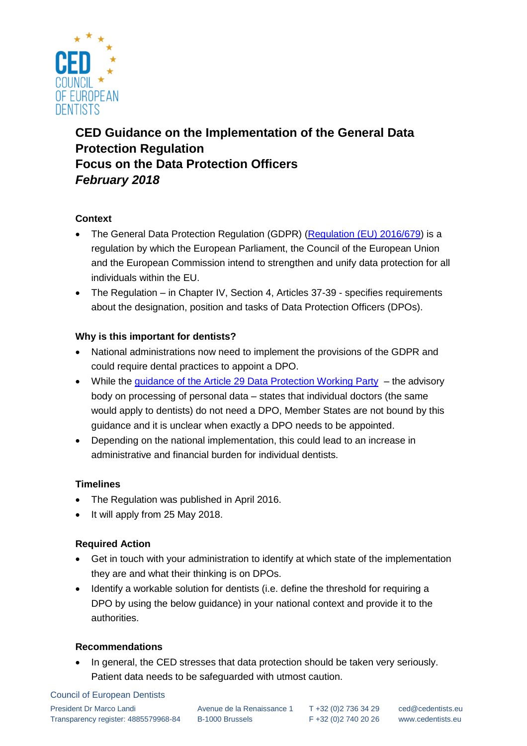

# **CED Guidance on the Implementation of the General Data Protection Regulation Focus on the Data Protection Officers** *February 2018*

# **Context**

- The General Data Protection Regulation (GDPR) [\(Regulation \(EU\) 2016/679\)](http://eur-lex.europa.eu/legal-content/EN/TXT/?uri=celex%3A32016R0679) is a regulation by which the European Parliament, the Council of the European Union and the European Commission intend to strengthen and unify data protection for all individuals within the EU.
- The Regulation in Chapter IV, Section 4, Articles 37-39 specifies requirements about the designation, position and tasks of Data Protection Officers (DPOs).

# **Why is this important for dentists?**

- National administrations now need to implement the provisions of the GDPR and could require dental practices to appoint a DPO.
- While the [guidance of the Article 29 Data Protection Working Party](http://ec.europa.eu/newsroom/document.cfm?doc_id=44100) the advisory body on processing of personal data – states that individual doctors (the same would apply to dentists) do not need a DPO, Member States are not bound by this guidance and it is unclear when exactly a DPO needs to be appointed.
- Depending on the national implementation, this could lead to an increase in administrative and financial burden for individual dentists.

### **Timelines**

- The Regulation was published in April 2016.
- It will apply from 25 May 2018.

# **Required Action**

- Get in touch with your administration to identify at which state of the implementation they are and what their thinking is on DPOs.
- Identify a workable solution for dentists (i.e. define the threshold for requiring a DPO by using the below guidance) in your national context and provide it to the authorities.

### **Recommendations**

• In general, the CED stresses that data protection should be taken very seriously. Patient data needs to be safeguarded with utmost caution.

#### Council of European Dentists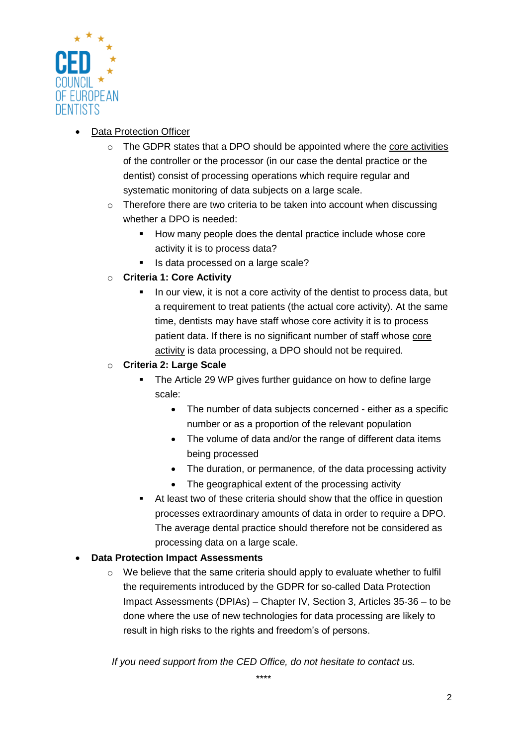

# Data Protection Officer

- $\circ$  The GDPR states that a DPO should be appointed where the core activities of the controller or the processor (in our case the dental practice or the dentist) consist of processing operations which require regular and systematic monitoring of data subjects on a large scale.
- o Therefore there are two criteria to be taken into account when discussing whether a DPO is needed:
	- How many people does the dental practice include whose core activity it is to process data?
	- Is data processed on a large scale?
- o **Criteria 1: Core Activity**
	- In our view, it is not a core activity of the dentist to process data, but a requirement to treat patients (the actual core activity). At the same time, dentists may have staff whose core activity it is to process patient data. If there is no significant number of staff whose core activity is data processing, a DPO should not be required.

# o **Criteria 2: Large Scale**

- The Article 29 WP gives further guidance on how to define large scale:
	- The number of data subjects concerned either as a specific number or as a proportion of the relevant population
	- The volume of data and/or the range of different data items being processed
	- The duration, or permanence, of the data processing activity
	- The geographical extent of the processing activity
- At least two of these criteria should show that the office in question processes extraordinary amounts of data in order to require a DPO. The average dental practice should therefore not be considered as processing data on a large scale.

# **Data Protection Impact Assessments**

 $\circ$  We believe that the same criteria should apply to evaluate whether to fulfil the requirements introduced by the GDPR for so-called Data Protection Impact Assessments (DPIAs) – Chapter IV, Section 3, Articles 35-36 – to be done where the use of new technologies for data processing are likely to result in high risks to the rights and freedom's of persons.

*If you need support from the CED Office, do not hesitate to contact us.*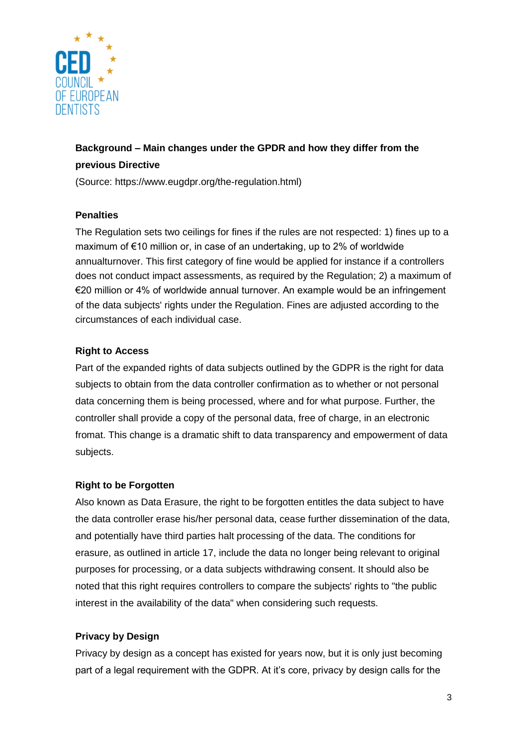

# **Background – Main changes under the GPDR and how they differ from the previous Directive**

(Source: https://www.eugdpr.org/the-regulation.html)

## **Penalties**

The Regulation sets two ceilings for fines if the rules are not respected: 1) fines up to a maximum of €10 million or, in case of an undertaking, up to 2% of worldwide annualturnover. This first category of fine would be applied for instance if a controllers does not conduct impact assessments, as required by the Regulation; 2) a maximum of €20 million or 4% of worldwide annual turnover. An example would be an infringement of the data subjects' rights under the Regulation. Fines are adjusted according to the circumstances of each individual case.

# **Right to Access**

Part of the expanded rights of data subjects outlined by the GDPR is the right for data subjects to obtain from the data controller confirmation as to whether or not personal data concerning them is being processed, where and for what purpose. Further, the controller shall provide a copy of the personal data, free of charge, in an electronic fromat. This change is a dramatic shift to data transparency and empowerment of data subjects.

### **Right to be Forgotten**

Also known as Data Erasure, the right to be forgotten entitles the data subject to have the data controller erase his/her personal data, cease further dissemination of the data, and potentially have third parties halt processing of the data. The conditions for erasure, as outlined in article 17, include the data no longer being relevant to original purposes for processing, or a data subjects withdrawing consent. It should also be noted that this right requires controllers to compare the subjects' rights to "the public interest in the availability of the data" when considering such requests.

# **Privacy by Design**

Privacy by design as a concept has existed for years now, but it is only just becoming part of a legal requirement with the GDPR. At it's core, privacy by design calls for the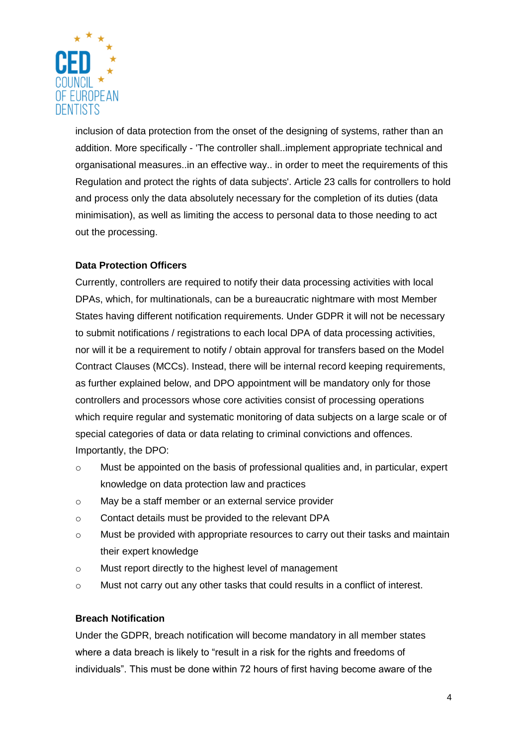

inclusion of data protection from the onset of the designing of systems, rather than an addition. More specifically - 'The controller shall..implement appropriate technical and organisational measures..in an effective way.. in order to meet the requirements of this Regulation and protect the rights of data subjects'. Article 23 calls for controllers to hold and process only the data absolutely necessary for the completion of its duties (data minimisation), as well as limiting the access to personal data to those needing to act out the processing.

# **Data Protection Officers**

Currently, controllers are required to notify their data processing activities with local DPAs, which, for multinationals, can be a bureaucratic nightmare with most Member States having different notification requirements. Under GDPR it will not be necessary to submit notifications / registrations to each local DPA of data processing activities, nor will it be a requirement to notify / obtain approval for transfers based on the Model Contract Clauses (MCCs). Instead, there will be internal record keeping requirements, as further explained below, and DPO appointment will be mandatory only for those controllers and processors whose core activities consist of processing operations which require regular and systematic monitoring of data subjects on a large scale or of special categories of data or data relating to criminal convictions and offences. Importantly, the DPO:

- $\circ$  Must be appointed on the basis of professional qualities and, in particular, expert knowledge on data protection law and practices
- o May be a staff member or an external service provider
- o Contact details must be provided to the relevant DPA
- o Must be provided with appropriate resources to carry out their tasks and maintain their expert knowledge
- o Must report directly to the highest level of management
- $\circ$  Must not carry out any other tasks that could results in a conflict of interest.

### **Breach Notification**

Under the GDPR, breach notification will become mandatory in all member states where a data breach is likely to "result in a risk for the rights and freedoms of individuals". This must be done within 72 hours of first having become aware of the